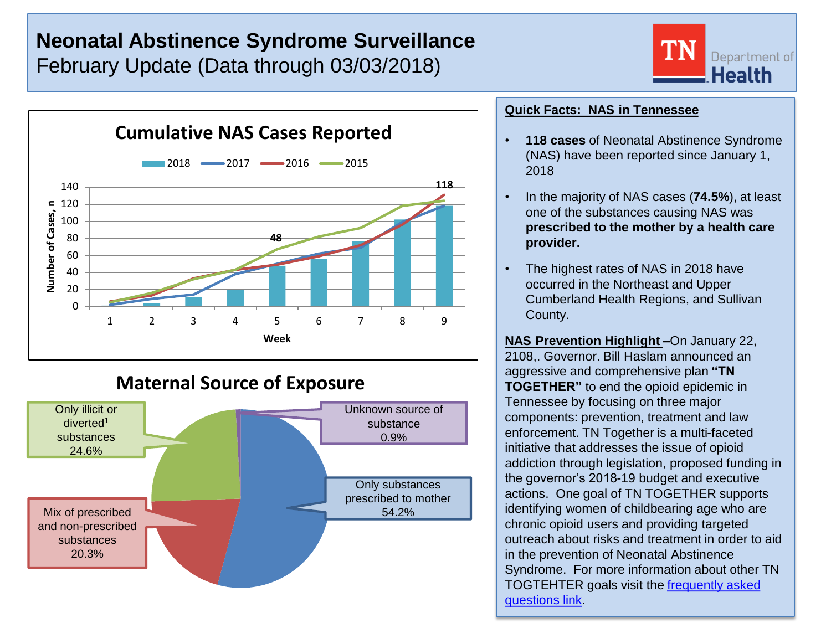# **Neonatal Abstinence Syndrome Surveillance** February Update (Data through 03/03/2018)





## **Maternal Source of Exposure**



### **Quick Facts: NAS in Tennessee**

- **118 cases** of Neonatal Abstinence Syndrome (NAS) have been reported since January 1, 2018
- In the majority of NAS cases (**74.5%**), at least one of the substances causing NAS was **prescribed to the mother by a health care provider.**
- The highest rates of NAS in 2018 have occurred in the Northeast and Upper Cumberland Health Regions, and Sullivan County.

**NAS Prevention Highlight –**On January 22, 2108,. Governor. Bill Haslam announced an aggressive and comprehensive plan **"TN TOGETHER"** to end the opioid epidemic in Tennessee by focusing on three major components: prevention, treatment and law enforcement. TN Together is a multi-faceted initiative that addresses the issue of opioid addiction through legislation, proposed funding in the governor's 2018-19 budget and executive actions. One goal of TN TOGETHER supports identifying women of childbearing age who are chronic opioid users and providing targeted outreach about risks and treatment in order to aid in the prevention of Neonatal Abstinence Syndrome. For more information about other TN TOGTEHTER goals visit the [frequently asked](https://www.tn.gov/content/dam/tn/governorsoffice-documents/governorsoffice-documents/TNtogetherFAQs.pdf)  [questions link](https://www.tn.gov/content/dam/tn/governorsoffice-documents/governorsoffice-documents/TNtogetherFAQs.pdf).